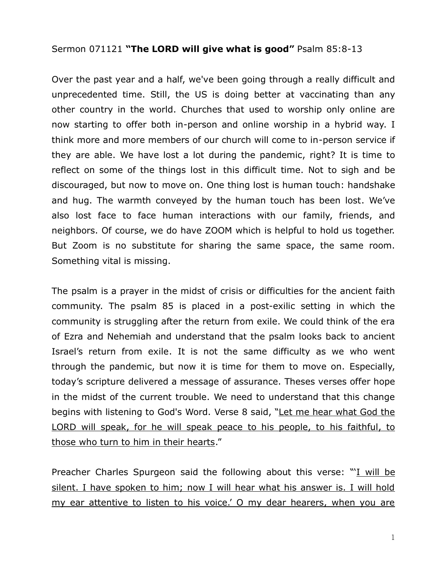## Sermon 071121 **"The LORD will give what is good"** Psalm 85:8-13

Over the past year and a half, we've been going through a really difficult and unprecedented time. Still, the US is doing better at vaccinating than any other country in the world. Churches that used to worship only online are now starting to offer both in-person and online worship in a hybrid way. I think more and more members of our church will come to in-person service if they are able. We have lost a lot during the pandemic, right? It is time to reflect on some of the things lost in this difficult time. Not to sigh and be discouraged, but now to move on. One thing lost is human touch: handshake and hug. The warmth conveyed by the human touch has been lost. We've also lost face to face human interactions with our family, friends, and neighbors. Of course, we do have ZOOM which is helpful to hold us together. But Zoom is no substitute for sharing the same space, the same room. Something vital is missing.

The psalm is a prayer in the midst of crisis or difficulties for the ancient faith community. The psalm 85 is placed in a post-exilic setting in which the community is struggling after the return from exile. We could think of the era of Ezra and Nehemiah and understand that the psalm looks back to ancient Israel's return from exile. It is not the same difficulty as we who went through the pandemic, but now it is time for them to move on. Especially, today's scripture delivered a message of assurance. Theses verses offer hope in the midst of the current trouble. We need to understand that this change begins with listening to God's Word. Verse 8 said, "Let me hear what God the LORD will speak, for he will speak peace to his people, to his faithful, to those who turn to him in their hearts."

Preacher Charles Spurgeon said the following about this verse: "I will be silent. I have spoken to him; now I will hear what his answer is. I will hold my ear attentive to listen to his voice.' O my dear hearers, when you are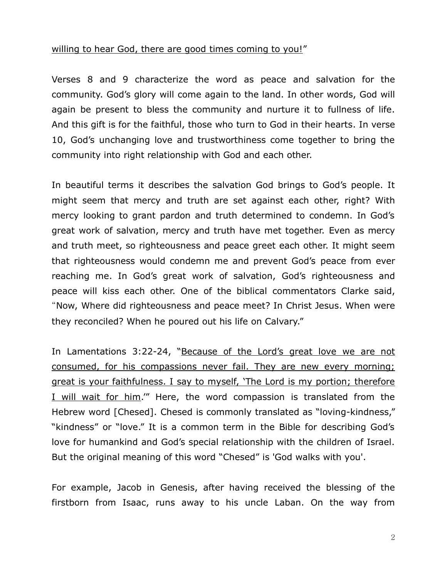## willing to hear God, there are good times coming to you!"

Verses 8 and 9 characterize the word as peace and salvation for the community. God's glory will come again to the land. In other words, God will again be present to bless the community and nurture it to fullness of life. And this gift is for the faithful, those who turn to God in their hearts. In verse 10, God's unchanging love and trustworthiness come together to bring the community into right relationship with God and each other.

In beautiful terms it describes the salvation God brings to God's people. It might seem that mercy and truth are set against each other, right? With mercy looking to grant pardon and truth determined to condemn. In God's great work of salvation, mercy and truth have met together. Even as mercy and truth meet, so righteousness and peace greet each other. It might seem that righteousness would condemn me and prevent God's peace from ever reaching me. In God's great work of salvation, God's righteousness and peace will kiss each other. One of the biblical commentators Clarke said, "Now, Where did righteousness and peace meet? In Christ Jesus. When were they reconciled? When he poured out his life on Calvary."

In Lamentations 3:22-24, "Because of the Lord's great love we are not consumed, for his compassions never fail. They are new every morning; great is your faithfulness. I say to myself, 'The Lord is my portion; therefore I will wait for him.'" Here, the word compassion is translated from the Hebrew word [Chesed]. Chesed is commonly translated as "loving-kindness," "kindness" or "love." It is a common term in the Bible for describing God's love for humankind and God's special relationship with the children of Israel. But the original meaning of this word "Chesed" is 'God walks with you'.

For example, Jacob in Genesis, after having received the blessing of the firstborn from Isaac, runs away to his uncle Laban. On the way from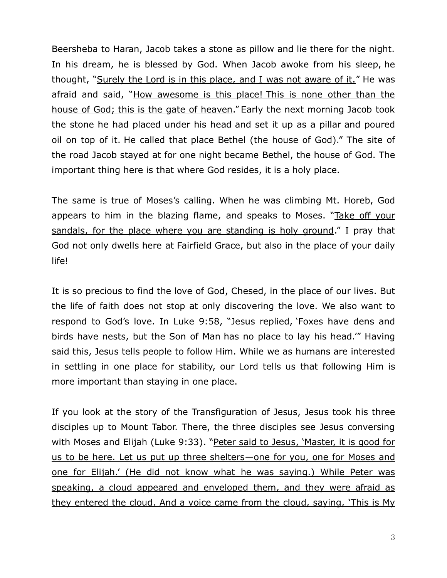Beersheba to Haran, Jacob takes a stone as pillow and lie there for the night. In his dream, he is blessed by God. When Jacob awoke from his sleep, he thought, "Surely the Lord is in this place, and I was not aware of it." He was afraid and said, "How awesome is this place! This is none other than the house of God; this is the gate of heaven." Early the next morning Jacob took the stone he had placed under his head and set it up as a pillar and poured oil on top of it. He called that place Bethel (the house of God)." The site of the road Jacob stayed at for one night became Bethel, the house of God. The important thing here is that where God resides, it is a holy place.

The same is true of Moses's calling. When he was climbing Mt. Horeb, God appears to him in the blazing flame, and speaks to Moses. "Take off your sandals, for the place where you are standing is holy ground." I pray that God not only dwells here at Fairfield Grace, but also in the place of your daily life!

It is so precious to find the love of God, Chesed, in the place of our lives. But the life of faith does not stop at only discovering the love. We also want to respond to God's love. In Luke 9:58, "Jesus replied, 'Foxes have dens and birds have nests, but the Son of Man has no place to lay his head.'" Having said this, Jesus tells people to follow Him. While we as humans are interested in settling in one place for stability, our Lord tells us that following Him is more important than staying in one place.

If you look at the story of the Transfiguration of Jesus, Jesus took his three disciples up to Mount Tabor. There, the three disciples see Jesus conversing with Moses and Elijah (Luke 9:33). "Peter said to Jesus, 'Master, it is good for us to be here. Let us put up three shelters—one for you, one for Moses and one for Elijah.' (He did not know what he was saying.) While Peter was speaking, a cloud appeared and enveloped them, and they were afraid as they entered the cloud. And a voice came from the cloud, saying, 'This is My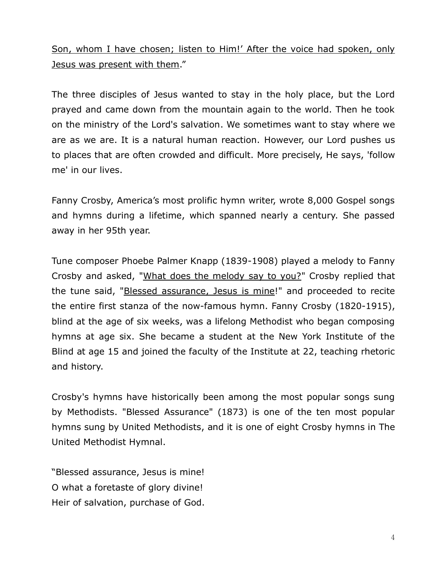Son, whom I have chosen; listen to Him!' After the voice had spoken, only Jesus was present with them."

The three disciples of Jesus wanted to stay in the holy place, but the Lord prayed and came down from the mountain again to the world. Then he took on the ministry of the Lord's salvation. We sometimes want to stay where we are as we are. It is a natural human reaction. However, our Lord pushes us to places that are often crowded and difficult. More precisely, He says, 'follow me' in our lives.

Fanny Crosby, America's most prolific hymn writer, wrote 8,000 Gospel songs and hymns during a lifetime, which spanned nearly a century. She passed away in her 95th year.

Tune composer Phoebe Palmer Knapp (1839-1908) played a melody to Fanny Crosby and asked, "What does the melody say to you?" Crosby replied that the tune said, "Blessed assurance, Jesus is mine!" and proceeded to recite the entire first stanza of the now-famous hymn. Fanny Crosby (1820-1915), blind at the age of six weeks, was a lifelong Methodist who began composing hymns at age six. She became a student at the New York Institute of the Blind at age 15 and joined the faculty of the Institute at 22, teaching rhetoric and history.

Crosby's hymns have historically been among the most popular songs sung by Methodists. "Blessed Assurance" (1873) is one of the ten most popular hymns sung by United Methodists, and it is one of eight Crosby hymns in The United Methodist Hymnal.

"Blessed assurance, Jesus is mine! O what a foretaste of glory divine! Heir of salvation, purchase of God.